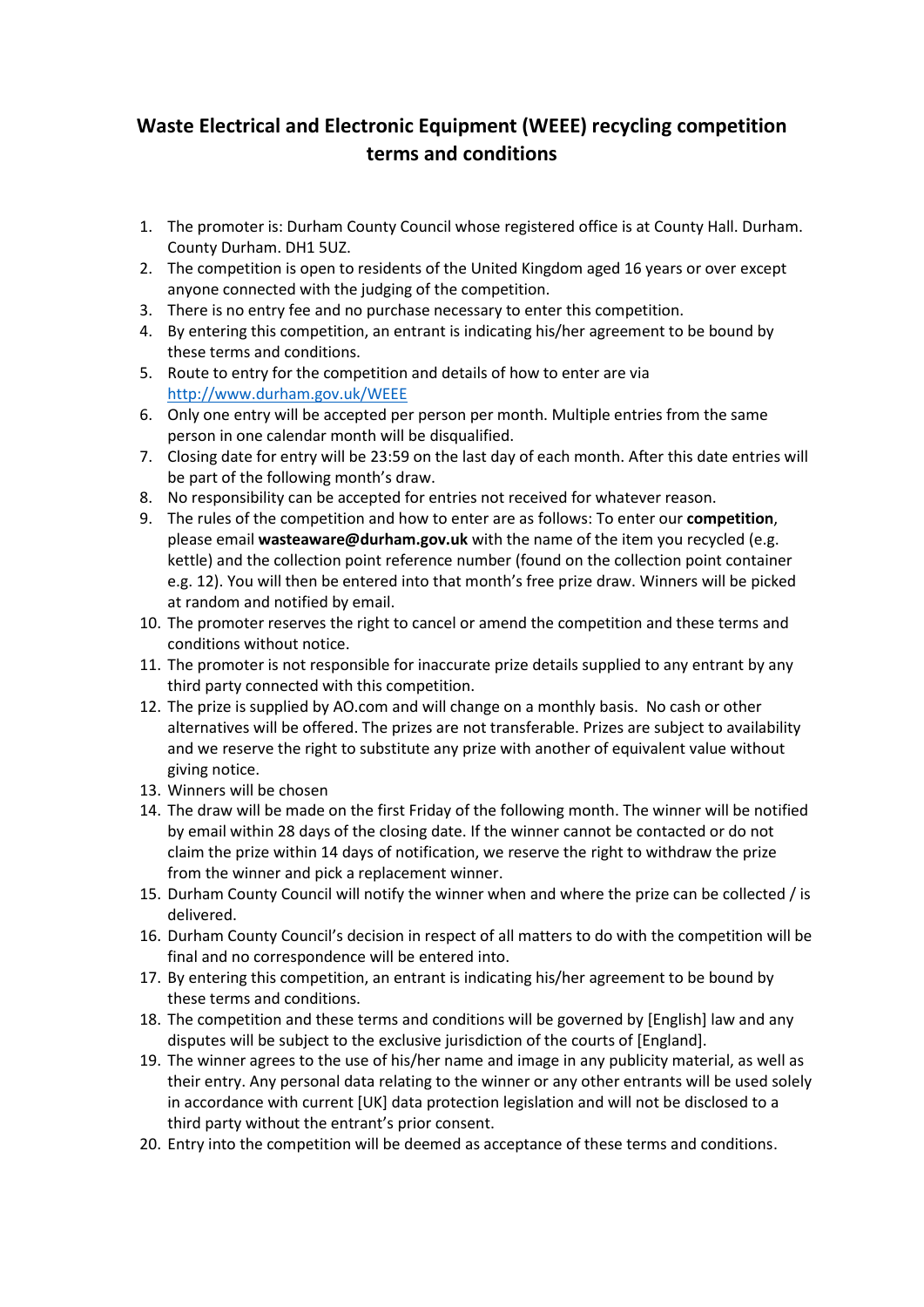## **Waste Electrical and Electronic Equipment (WEEE) recycling competition terms and conditions**

- 1. The promoter is: Durham County Council whose registered office is at County Hall. Durham. County Durham. DH1 5UZ.
- 2. The competition is open to residents of the United Kingdom aged 16 years or over except anyone connected with the judging of the competition.
- 3. There is no entry fee and no purchase necessary to enter this competition.
- 4. By entering this competition, an entrant is indicating his/her agreement to be bound by these terms and conditions.
- 5. Route to entry for the competition and details of how to enter are via <http://www.durham.gov.uk/WEEE>
- 6. Only one entry will be accepted per person per month. Multiple entries from the same person in one calendar month will be disqualified.
- 7. Closing date for entry will be 23:59 on the last day of each month. After this date entries will be part of the following month's draw.
- 8. No responsibility can be accepted for entries not received for whatever reason.
- 9. The rules of the competition and how to enter are as follows: To enter our **competition**, please email **[wasteaware@durham.gov.uk](mailto:wasteaware@durham.gov.uk)** with the name of the item you recycled (e.g. kettle) and the collection point reference number (found on the collection point container e.g. 12). You will then be entered into that month's free prize draw. Winners will be picked at random and notified by email.
- 10. The promoter reserves the right to cancel or amend the competition and these terms and conditions without notice.
- 11. The promoter is not responsible for inaccurate prize details supplied to any entrant by any third party connected with this competition.
- 12. The prize is supplied by AO.com and will change on a monthly basis. No cash or other alternatives will be offered. The prizes are not transferable. Prizes are subject to availability and we reserve the right to substitute any prize with another of equivalent value without giving notice.
- 13. Winners will be chosen
- 14. The draw will be made on the first Friday of the following month. The winner will be notified by email within 28 days of the closing date. If the winner cannot be contacted or do not claim the prize within 14 days of notification, we reserve the right to withdraw the prize from the winner and pick a replacement winner.
- 15. Durham County Council will notify the winner when and where the prize can be collected / is delivered.
- 16. Durham County Council's decision in respect of all matters to do with the competition will be final and no correspondence will be entered into.
- 17. By entering this competition, an entrant is indicating his/her agreement to be bound by these terms and conditions.
- 18. The competition and these terms and conditions will be governed by [English] law and any disputes will be subject to the exclusive jurisdiction of the courts of [England].
- 19. The winner agrees to the use of his/her name and image in any publicity material, as well as their entry. Any personal data relating to the winner or any other entrants will be used solely in accordance with current [UK] data protection legislation and will not be disclosed to a third party without the entrant's prior consent.
- 20. Entry into the competition will be deemed as acceptance of these terms and conditions.